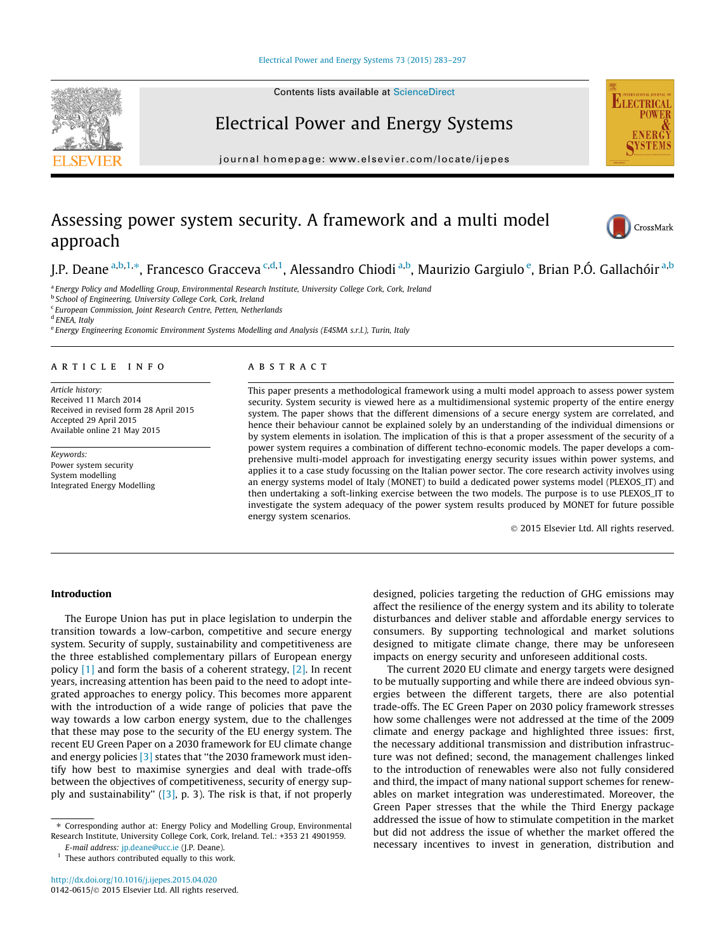#### [Electrical Power and Energy Systems 73 \(2015\) 283–297](http://dx.doi.org/10.1016/j.ijepes.2015.04.020)



Contents lists available at [ScienceDirect](http://www.sciencedirect.com/science/journal/01420615)

# Electrical Power and Energy Systems

journal homepage: [www.elsevier.com/locate/ijepes](http://www.elsevier.com/locate/ijepes)

# Assessing power system security. A framework and a multi model approach



**STEM** 

CrossMark

**ELECTRICAL** 

# J.P. Deane <sup>a,b,1,</sup>\*, Francesco Gracceva <sup>c,d,1</sup>, Alessandro Chiodi <sup>a,b</sup>, Maurizio Gargiulo <sup>e</sup>, Brian P.Ó. Gallachóir <sup>a,b</sup>

a Energy Policy and Modelling Group, Environmental Research Institute, University College Cork, Cork, Ireland **b School of Engineering, University College Cork, Cork, Ireland** <sup>c</sup> European Commission, Joint Research Centre, Petten, Netherlands

<sup>d</sup> ENEA, Italy

<sup>e</sup> Energy Engineering Economic Environment Systems Modelling and Analysis (E4SMA s.r.l.), Turin, Italy

#### article info

Article history: Received 11 March 2014 Received in revised form 28 April 2015 Accepted 29 April 2015 Available online 21 May 2015

Keywords: Power system security System modelling Integrated Energy Modelling

## **ABSTRACT**

This paper presents a methodological framework using a multi model approach to assess power system security. System security is viewed here as a multidimensional systemic property of the entire energy system. The paper shows that the different dimensions of a secure energy system are correlated, and hence their behaviour cannot be explained solely by an understanding of the individual dimensions or by system elements in isolation. The implication of this is that a proper assessment of the security of a power system requires a combination of different techno-economic models. The paper develops a comprehensive multi-model approach for investigating energy security issues within power systems, and applies it to a case study focussing on the Italian power sector. The core research activity involves using an energy systems model of Italy (MONET) to build a dedicated power systems model (PLEXOS\_IT) and then undertaking a soft-linking exercise between the two models. The purpose is to use PLEXOS\_IT to investigate the system adequacy of the power system results produced by MONET for future possible energy system scenarios.

- 2015 Elsevier Ltd. All rights reserved.

# Introduction

The Europe Union has put in place legislation to underpin the transition towards a low-carbon, competitive and secure energy system. Security of supply, sustainability and competitiveness are the three established complementary pillars of European energy policy [\[1\]](#page--1-0) and form the basis of a coherent strategy, [\[2\].](#page--1-0) In recent years, increasing attention has been paid to the need to adopt integrated approaches to energy policy. This becomes more apparent with the introduction of a wide range of policies that pave the way towards a low carbon energy system, due to the challenges that these may pose to the security of the EU energy system. The recent EU Green Paper on a 2030 framework for EU climate change and energy policies [\[3\]](#page--1-0) states that "the 2030 framework must identify how best to maximise synergies and deal with trade-offs between the objectives of competitiveness, security of energy supply and sustainability"  $(3]$ , p. 3). The risk is that, if not properly

E-mail address: [jp.deane@ucc.ie](mailto:jp.deane@ucc.ie) (J.P. Deane).

 $1$  These authors contributed equally to this work.

designed, policies targeting the reduction of GHG emissions may affect the resilience of the energy system and its ability to tolerate disturbances and deliver stable and affordable energy services to consumers. By supporting technological and market solutions designed to mitigate climate change, there may be unforeseen impacts on energy security and unforeseen additional costs.

The current 2020 EU climate and energy targets were designed to be mutually supporting and while there are indeed obvious synergies between the different targets, there are also potential trade-offs. The EC Green Paper on 2030 policy framework stresses how some challenges were not addressed at the time of the 2009 climate and energy package and highlighted three issues: first, the necessary additional transmission and distribution infrastructure was not defined; second, the management challenges linked to the introduction of renewables were also not fully considered and third, the impact of many national support schemes for renewables on market integration was underestimated. Moreover, the Green Paper stresses that the while the Third Energy package addressed the issue of how to stimulate competition in the market but did not address the issue of whether the market offered the necessary incentives to invest in generation, distribution and

<sup>⇑</sup> Corresponding author at: Energy Policy and Modelling Group, Environmental Research Institute, University College Cork, Cork, Ireland. Tel.: +353 21 4901959.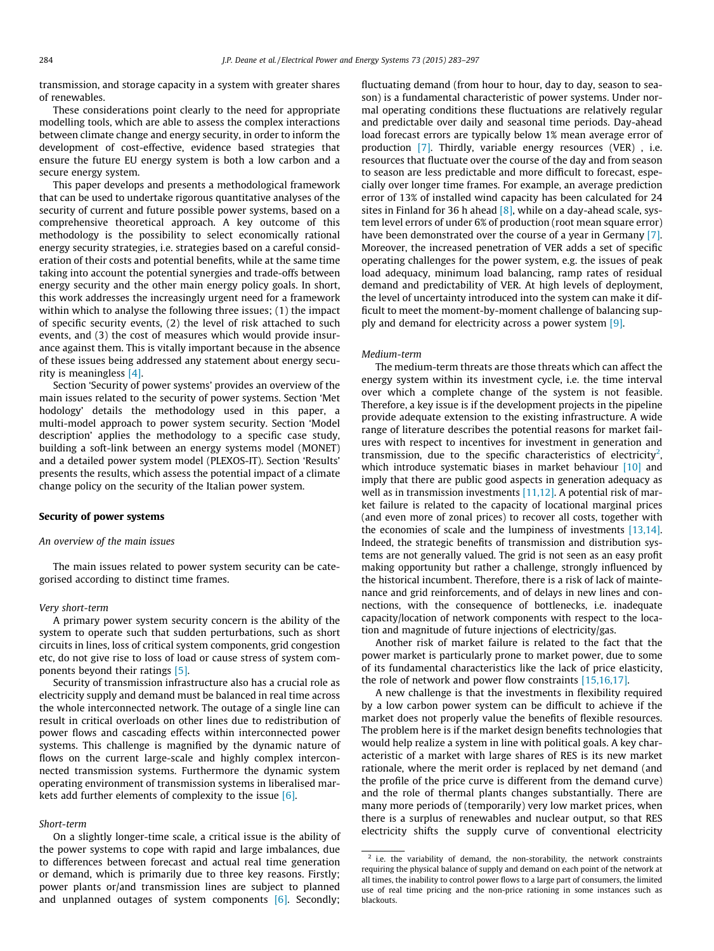transmission, and storage capacity in a system with greater shares of renewables.

These considerations point clearly to the need for appropriate modelling tools, which are able to assess the complex interactions between climate change and energy security, in order to inform the development of cost-effective, evidence based strategies that ensure the future EU energy system is both a low carbon and a secure energy system.

This paper develops and presents a methodological framework that can be used to undertake rigorous quantitative analyses of the security of current and future possible power systems, based on a comprehensive theoretical approach. A key outcome of this methodology is the possibility to select economically rational energy security strategies, i.e. strategies based on a careful consideration of their costs and potential benefits, while at the same time taking into account the potential synergies and trade-offs between energy security and the other main energy policy goals. In short, this work addresses the increasingly urgent need for a framework within which to analyse the following three issues; (1) the impact of specific security events, (2) the level of risk attached to such events, and (3) the cost of measures which would provide insurance against them. This is vitally important because in the absence of these issues being addressed any statement about energy security is meaningless [\[4\].](#page--1-0)

Section 'Security of power systems' provides an overview of the main issues related to the security of power systems. Section 'Met hodology' details the methodology used in this paper, a multi-model approach to power system security. Section 'Model description' applies the methodology to a specific case study, building a soft-link between an energy systems model (MONET) and a detailed power system model (PLEXOS-IT). Section 'Results' presents the results, which assess the potential impact of a climate change policy on the security of the Italian power system.

# Security of power systems

## An overview of the main issues

The main issues related to power system security can be categorised according to distinct time frames.

## Very short-term

A primary power system security concern is the ability of the system to operate such that sudden perturbations, such as short circuits in lines, loss of critical system components, grid congestion etc, do not give rise to loss of load or cause stress of system components beyond their ratings [\[5\]](#page--1-0).

Security of transmission infrastructure also has a crucial role as electricity supply and demand must be balanced in real time across the whole interconnected network. The outage of a single line can result in critical overloads on other lines due to redistribution of power flows and cascading effects within interconnected power systems. This challenge is magnified by the dynamic nature of flows on the current large-scale and highly complex interconnected transmission systems. Furthermore the dynamic system operating environment of transmission systems in liberalised markets add further elements of complexity to the issue [\[6\]](#page--1-0).

## Short-term

On a slightly longer-time scale, a critical issue is the ability of the power systems to cope with rapid and large imbalances, due to differences between forecast and actual real time generation or demand, which is primarily due to three key reasons. Firstly; power plants or/and transmission lines are subject to planned and unplanned outages of system components  $[6]$ . Secondly;

fluctuating demand (from hour to hour, day to day, season to season) is a fundamental characteristic of power systems. Under normal operating conditions these fluctuations are relatively regular and predictable over daily and seasonal time periods. Day-ahead load forecast errors are typically below 1% mean average error of production [\[7\]](#page--1-0). Thirdly, variable energy resources (VER) , i.e. resources that fluctuate over the course of the day and from season to season are less predictable and more difficult to forecast, especially over longer time frames. For example, an average prediction error of 13% of installed wind capacity has been calculated for 24 sites in Finland for 36 h ahead  $[8]$ , while on a day-ahead scale, system level errors of under 6% of production (root mean square error) have been demonstrated over the course of a year in Germany [\[7\].](#page--1-0) Moreover, the increased penetration of VER adds a set of specific operating challenges for the power system, e.g. the issues of peak load adequacy, minimum load balancing, ramp rates of residual demand and predictability of VER. At high levels of deployment, the level of uncertainty introduced into the system can make it difficult to meet the moment-by-moment challenge of balancing supply and demand for electricity across a power system [\[9\].](#page--1-0)

#### Medium-term

The medium-term threats are those threats which can affect the energy system within its investment cycle, i.e. the time interval over which a complete change of the system is not feasible. Therefore, a key issue is if the development projects in the pipeline provide adequate extension to the existing infrastructure. A wide range of literature describes the potential reasons for market failures with respect to incentives for investment in generation and transmission, due to the specific characteristics of electricity<sup>2</sup>, which introduce systematic biases in market behaviour  $[10]$  and imply that there are public good aspects in generation adequacy as well as in transmission investments  $[11,12]$ . A potential risk of market failure is related to the capacity of locational marginal prices (and even more of zonal prices) to recover all costs, together with the economies of scale and the lumpiness of investments [\[13,14\].](#page--1-0) Indeed, the strategic benefits of transmission and distribution systems are not generally valued. The grid is not seen as an easy profit making opportunity but rather a challenge, strongly influenced by the historical incumbent. Therefore, there is a risk of lack of maintenance and grid reinforcements, and of delays in new lines and connections, with the consequence of bottlenecks, i.e. inadequate capacity/location of network components with respect to the location and magnitude of future injections of electricity/gas.

Another risk of market failure is related to the fact that the power market is particularly prone to market power, due to some of its fundamental characteristics like the lack of price elasticity, the role of network and power flow constraints [\[15,16,17\].](#page--1-0)

A new challenge is that the investments in flexibility required by a low carbon power system can be difficult to achieve if the market does not properly value the benefits of flexible resources. The problem here is if the market design benefits technologies that would help realize a system in line with political goals. A key characteristic of a market with large shares of RES is its new market rationale, where the merit order is replaced by net demand (and the profile of the price curve is different from the demand curve) and the role of thermal plants changes substantially. There are many more periods of (temporarily) very low market prices, when there is a surplus of renewables and nuclear output, so that RES electricity shifts the supply curve of conventional electricity

 $2$  i.e. the variability of demand, the non-storability, the network constraints requiring the physical balance of supply and demand on each point of the network at all times, the inability to control power flows to a large part of consumers, the limited use of real time pricing and the non-price rationing in some instances such as blackouts.